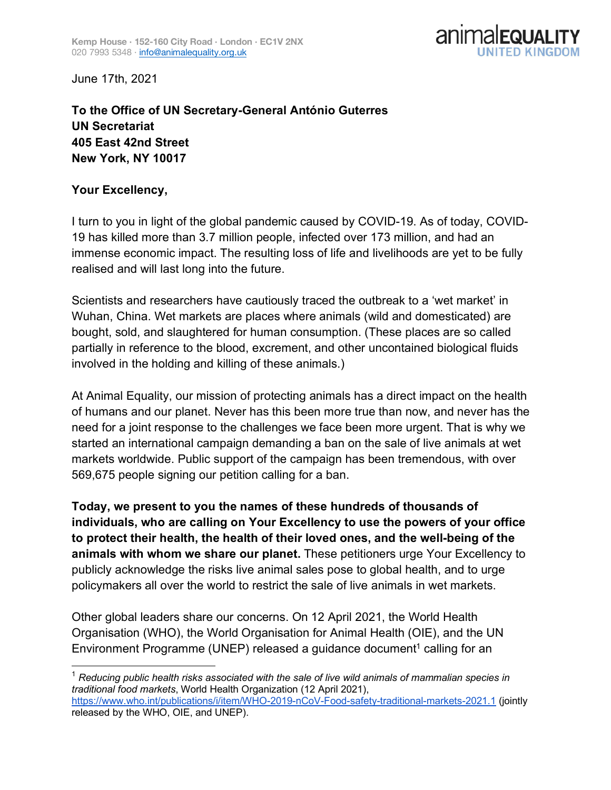

June 17th, 2021

**To the Office of UN Secretary-General António Guterres UN Secretariat 405 East 42nd Street New York, NY 10017**

## **Your Excellency,**

I turn to you in light of the global pandemic caused by COVID-19. As of today, COVID-19 has killed more than 3.7 million people, infected over 173 million, and had an immense economic impact. The resulting loss of life and livelihoods are yet to be fully realised and will last long into the future.

Scientists and researchers have cautiously traced the outbreak to a 'wet market' in Wuhan, China. Wet markets are places where animals (wild and domesticated) are bought, sold, and slaughtered for human consumption. (These places are so called partially in reference to the blood, excrement, and other uncontained biological fluids involved in the holding and killing of these animals.)

At Animal Equality, our mission of protecting animals has a direct impact on the health of humans and our planet. Never has this been more true than now, and never has the need for a joint response to the challenges we face been more urgent. That is why we started an international campaign demanding a ban on the sale of live animals at wet markets worldwide. Public support of the campaign has been tremendous, with over 569,675 people signing our petition calling for a ban.

**Today, we present to you the names of these hundreds of thousands of individuals, who are calling on Your Excellency to use the powers of your office to protect their health, the health of their loved ones, and the well-being of the animals with whom we share our planet.** These petitioners urge Your Excellency to publicly acknowledge the risks live animal sales pose to global health, and to urge policymakers all over the world to restrict the sale of live animals in wet markets.

Other global leaders share our concerns. On 12 April 2021, the World Health Organisation (WHO), the World Organisation for Animal Health (OIE), and the UN Environment Programme (UNEP) released a guidance document<sup>1</sup> calling for an

 <sup>1</sup> *Reducing public health risks associated with the sale of live wild animals of mammalian species in traditional food markets*, World Health Organization (12 April 2021), https://www.who.int/publications/i/item/WHO-2019-nCoV-Food-safety-traditional-markets-2021.1 (jointly released by the WHO, OIE, and UNEP).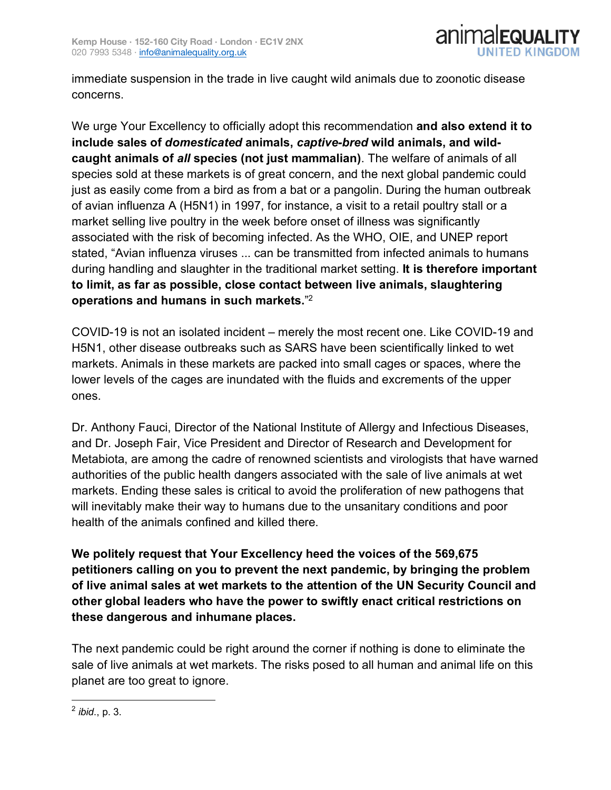

immediate suspension in the trade in live caught wild animals due to zoonotic disease concerns.

We urge Your Excellency to officially adopt this recommendation **and also extend it to include sales of** *domesticated* **animals,** *captive-bred* **wild animals, and wildcaught animals of** *all* **species (not just mammalian)**. The welfare of animals of all species sold at these markets is of great concern, and the next global pandemic could just as easily come from a bird as from a bat or a pangolin. During the human outbreak of avian influenza A (H5N1) in 1997, for instance, a visit to a retail poultry stall or a market selling live poultry in the week before onset of illness was significantly associated with the risk of becoming infected. As the WHO, OIE, and UNEP report stated, "Avian influenza viruses ... can be transmitted from infected animals to humans during handling and slaughter in the traditional market setting. **It is therefore important to limit, as far as possible, close contact between live animals, slaughtering operations and humans in such markets.**" 2

COVID-19 is not an isolated incident – merely the most recent one. Like COVID-19 and H5N1, other disease outbreaks such as SARS have been scientifically linked to wet markets. Animals in these markets are packed into small cages or spaces, where the lower levels of the cages are inundated with the fluids and excrements of the upper ones.

Dr. Anthony Fauci, Director of the National Institute of Allergy and Infectious Diseases, and Dr. Joseph Fair, Vice President and Director of Research and Development for Metabiota, are among the cadre of renowned scientists and virologists that have warned authorities of the public health dangers associated with the sale of live animals at wet markets. Ending these sales is critical to avoid the proliferation of new pathogens that will inevitably make their way to humans due to the unsanitary conditions and poor health of the animals confined and killed there.

**We politely request that Your Excellency heed the voices of the 569,675 petitioners calling on you to prevent the next pandemic, by bringing the problem of live animal sales at wet markets to the attention of the UN Security Council and other global leaders who have the power to swiftly enact critical restrictions on these dangerous and inhumane places.**

The next pandemic could be right around the corner if nothing is done to eliminate the sale of live animals at wet markets. The risks posed to all human and animal life on this planet are too great to ignore.

 <sup>2</sup> *ibid*., p. 3.